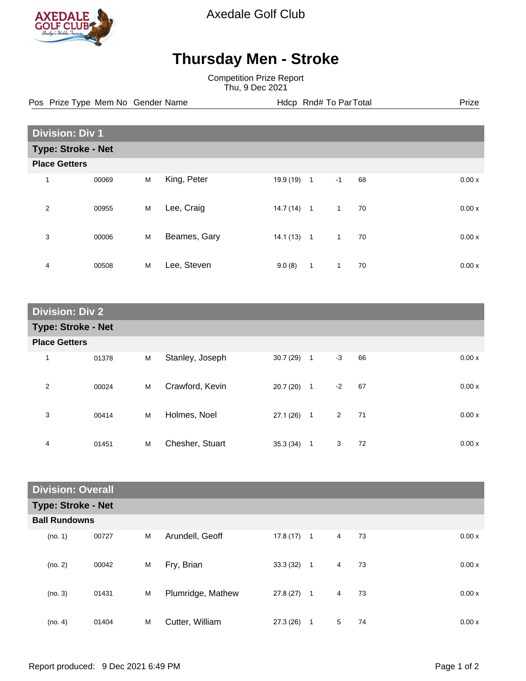

Axedale Golf Club

## **Thursday Men - Stroke**

Competition Prize Report Thu, 9 Dec 2021

Pos Prize Type Mem No Gender Name **Health Hotel Rnd# To ParTotal** Prize

| <b>Division: Div 1</b>    |       |   |              |           |                |              |    |  |       |
|---------------------------|-------|---|--------------|-----------|----------------|--------------|----|--|-------|
| <b>Type: Stroke - Net</b> |       |   |              |           |                |              |    |  |       |
| <b>Place Getters</b>      |       |   |              |           |                |              |    |  |       |
| 1                         | 00069 | M | King, Peter  | 19.9 (19) | $\mathbf{1}$   | $-1$         | 68 |  | 0.00x |
| $\overline{2}$            | 00955 | M | Lee, Craig   | 14.7(14)  | $\overline{1}$ | 1            | 70 |  | 0.00x |
| 3                         | 00006 | M | Beames, Gary | 14.1(13)  | $\overline{1}$ | 1            | 70 |  | 0.00x |
| 4                         | 00508 | M | Lee, Steven  | 9.0(8)    | 1              | $\mathbf{1}$ | 70 |  | 0.00x |

| <b>Division: Div 2</b>    |       |   |                 |          |                |      |    |  |       |
|---------------------------|-------|---|-----------------|----------|----------------|------|----|--|-------|
| <b>Type: Stroke - Net</b> |       |   |                 |          |                |      |    |  |       |
| <b>Place Getters</b>      |       |   |                 |          |                |      |    |  |       |
| $\mathbf{1}$              | 01378 | M | Stanley, Joseph | 30.7(29) | $\overline{1}$ | $-3$ | 66 |  | 0.00x |
| $\overline{2}$            | 00024 | M | Crawford, Kevin | 20.7(20) | $\mathbf 1$    | $-2$ | 67 |  | 0.00x |
| 3                         | 00414 | M | Holmes, Noel    | 27.1(26) | $\overline{1}$ | 2    | 71 |  | 0.00x |
| 4                         | 01451 | M | Chesher, Stuart | 35.3(34) | 1              | 3    | 72 |  | 0.00x |

| <b>Division: Overall</b> |                           |   |                   |              |                |                |    |       |  |
|--------------------------|---------------------------|---|-------------------|--------------|----------------|----------------|----|-------|--|
|                          | <b>Type: Stroke - Net</b> |   |                   |              |                |                |    |       |  |
| <b>Ball Rundowns</b>     |                           |   |                   |              |                |                |    |       |  |
| (no. 1)                  | 00727                     | M | Arundell, Geoff   | $17.8(17)$ 1 |                | 4              | 73 | 0.00x |  |
| (no. 2)                  | 00042                     | M | Fry, Brian        | 33.3(32)     | $\mathbf{1}$   | $\overline{4}$ | 73 | 0.00x |  |
| (no. 3)                  | 01431                     | M | Plumridge, Mathew | 27.8 (27)    | $\overline{1}$ | 4              | 73 | 0.00x |  |
| (no. 4)                  | 01404                     | M | Cutter, William   | 27.3 (26)    | 1              | 5              | 74 | 0.00x |  |